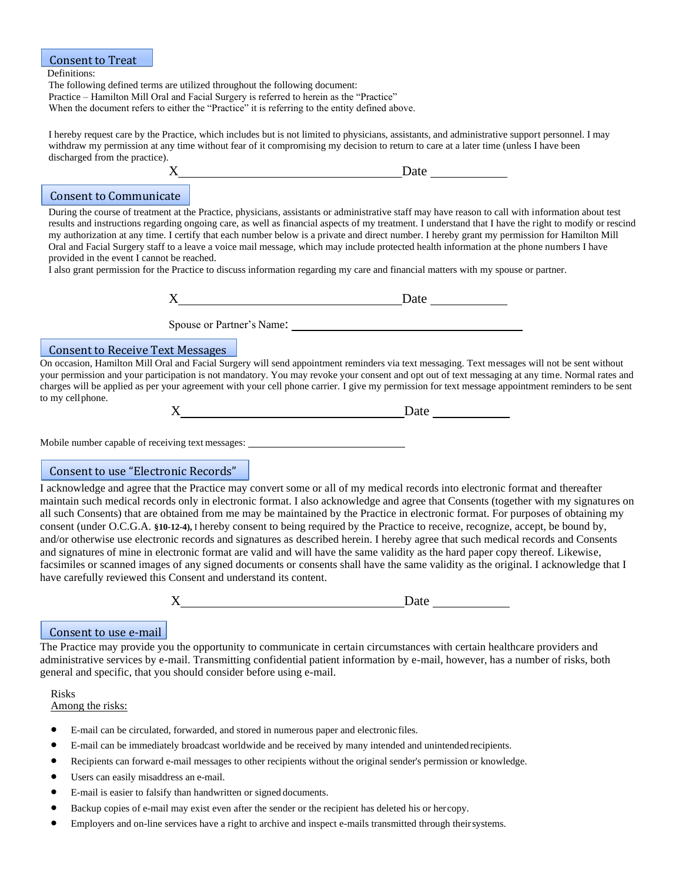#### Definitions: The following defined terms are utilized throughout the following document: Practice – Hamilton Mill Oral and Facial Surgery is referred to herein as the "Practice" When the document refers to either the "Practice" it is referring to the entity defined above. Consent to Treat

I hereby request care by the Practice, which includes but is not limited to physicians, assistants, and administrative support personnel. I may withdraw my permission at any time without fear of it compromising my decision to return to care at a later time (unless I have been discharged from the practice). Date by Date by Date by Date by 2012

# Consent to Communicate

During the course of treatment at the Practice, physicians, assistants or administrative staff may have reason to call with information about test results and instructions regarding ongoing care, as well as financial aspects of my treatment. I understand that I have the right to modify or rescind my authorization at any time. I certify that each number below is a private and direct number. I hereby grant my permission for Hamilton Mill Oral and Facial Surgery staff to a leave a voice mail message, which may include protected health information at the phone numbers I have provided in the event I cannot be reached.

I also grant permission for the Practice to discuss information regarding my care and financial matters with my spouse or partner.

| $\rm\overline{X}$<br>м<br>Daw |
|-------------------------------|
|                               |

Spouse or Partner's Name:

### Consent to Receive Text Messages

On occasion, Hamilton Mill Oral and Facial Surgery will send appointment reminders via text messaging. Text messages will not be sent without your permission and your participation is not mandatory. You may revoke your consent and opt out of text messaging at any time. Normal rates and charges will be applied as per your agreement with your cell phone carrier. I give my permission for text message appointment reminders to be sent to my cellphone.

| $\mathbf v$<br>Δ | Date |  |
|------------------|------|--|
|------------------|------|--|

Mobile number capable of receiving text messages:

# Consent to use "Electronic Records"

I acknowledge and agree that the Practice may convert some or all of my medical records into electronic format and thereafter maintain such medical records only in electronic format. I also acknowledge and agree that Consents (together with my signatures on all such Consents) that are obtained from me may be maintained by the Practice in electronic format. For purposes of obtaining my consent (under O.C.G.A. **§10-12-4),** I hereby consent to being required by the Practice to receive, recognize, accept, be bound by, and/or otherwise use electronic records and signatures as described herein. I hereby agree that such medical records and Consents and signatures of mine in electronic format are valid and will have the same validity as the hard paper copy thereof. Likewise, facsimiles or scanned images of any signed documents or consents shall have the same validity as the original. I acknowledge that I have carefully reviewed this Consent and understand its content.

| $\mathbf{r}$ | ---- |
|--------------|------|
|              |      |

### Consent to use e-mail

The Practice may provide you the opportunity to communicate in certain circumstances with certain healthcare providers and administrative services by e-mail. Transmitting confidential patient information by e-mail, however, has a number of risks, both general and specific, that you should consider before using e-mail.

Risks Among the risks:

- E-mail can be circulated, forwarded, and stored in numerous paper and electronic files.
- E-mail can be immediately broadcast worldwide and be received by many intended and unintended recipients.
- Recipients can forward e-mail messages to other recipients without the original sender's permission or knowledge.
- Users can easily misaddress an e-mail.
- E-mail is easier to falsify than handwritten or signed documents.
- Backup copies of e-mail may exist even after the sender or the recipient has deleted his or hercopy.
- Employers and on-line services have a right to archive and inspect e-mails transmitted through theirsystems.